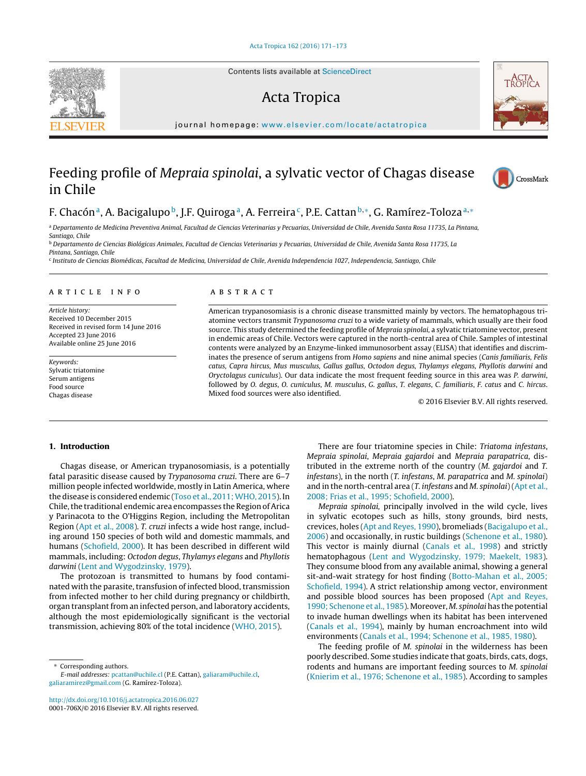Contents lists available at [ScienceDirect](http://www.sciencedirect.com/science/journal/0001706X)

# Acta Tropica



iournal homepage: [www.elsevier.com/locate/actatropica](http://www.elsevier.com/locate/actatropica)

# Feeding profile of Mepraia spinolai, a sylvatic vector of Chagas disease in Chile



# F. Chacón<sup>a</sup>, A. Bacigalupo<sup>b</sup>, J.F. Quiroga<sup>a</sup>, A. Ferreira<sup>c</sup>, P.E. Cattan<sup>b,∗</sup>, G. Ramírez-Toloza<sup>a,∗</sup>

a Departamento de Medicina Preventiva Animal, Facultad de Ciencias Veterinarias y Pecuarias, Universidad de Chile, Avenida Santa Rosa 11735, La Pintana, Santiago, Chile

<sup>b</sup> Departamento de Ciencias Biológicas Animales, Facultad de Ciencias Veterinarias y Pecuarias, Universidad de Chile, Avenida Santa Rosa 11735, La

Pintana, Santiago, Chile

<sup>c</sup> Instituto de Ciencias Biomédicas, Facultad de Medicina, Universidad de Chile, Avenida Independencia 1027, Independencia, Santiago, Chile

### a r t i c l e i n f o

Article history: Received 10 December 2015 Received in revised form 14 June 2016 Accepted 23 June 2016 Available online 25 June 2016

Keywords: Sylvatic triatomine Serum antigens Food source Chagas disease

# A B S T R A C T

American trypanosomiasis is a chronic disease transmitted mainly by vectors. The hematophagous triatomine vectors transmit Trypanosoma cruzi to a wide variety of mammals, which usually are their food source. This study determined the feeding profile of Mepraia spinolai, a sylvatic triatomine vector, present in endemic areas of Chile. Vectors were captured in the north-central area of Chile. Samples of intestinal contents were analyzed by an Enzyme-linked immunosorbent assay (ELISA) that identifies and discriminates the presence of serum antigens from Homo sapiens and nine animal species (Canis familiaris, Felis catus, Capra hircus, Mus musculus, Gallus gallus, Octodon degus, Thylamys elegans, Phyllotis darwini and Oryctolagus cuniculus). Our data indicate the most frequent feeding source in this area was P. darwini, followed by O. degus, O. cuniculus, M. musculus, G. gallus, T. elegans, C. familiaris, F. catus and C. hircus. Mixed food sources were also identified.

© 2016 Elsevier B.V. All rights reserved.

#### **1. Introduction**

Chagas disease, or American trypanosomiasis, is a potentially fatal parasitic disease caused by Trypanosoma cruzi. There are 6–7 million people infected worldwide, mostly in Latin America, where the disease is considered endemic ([Toso](#page-2-0) et [al.,](#page-2-0) 2011; WHO, [2015\).](#page-2-0) In Chile, the traditional endemic area encompasses the Region of Arica y Parinacota to the O'Higgins Region, including the Metropolitan Region [\(Apt](#page-2-0) et [al.,](#page-2-0) [2008\).](#page-2-0) T. cruzi infects a wide host range, including around 150 species of both wild and domestic mammals, and humans [\(Schofield,](#page-2-0) [2000\).](#page-2-0) It has been described in different wild mammals, including: Octodon degus, Thylamys elegans and Phyllotis darwini [\(Lent](#page-2-0) [and](#page-2-0) [Wygodzinsky,](#page-2-0) [1979\).](#page-2-0)

The protozoan is transmitted to humans by food contaminated with the parasite, transfusion of infected blood, transmission from infected mother to her child during pregnancy or childbirth, organ transplant from an infected person, and laboratory accidents, although the most epidemiologically significant is the vectorial transmission, achieving 80% of the total incidence [\(WHO,](#page-2-0) [2015\).](#page-2-0)

Corresponding authors.

E-mail addresses: [pcattan@uchile.cl](mailto:pcattan@uchile.cl) (P.E. Cattan), [galiaram@uchile.cl,](mailto:galiaram@uchile.cl) [galiaramirez@gmail.com](mailto:galiaramirez@gmail.com) (G. Ramírez-Toloza).

[http://dx.doi.org/10.1016/j.actatropica.2016.06.027](dx.doi.org/10.1016/j.actatropica.2016.06.027) 0001-706X/© 2016 Elsevier B.V. All rights reserved.

There are four triatomine species in Chile: Triatoma infestans, Mepraia spinolai, Mepraia gajardoi and Mepraia parapatrica, distributed in the extreme north of the country (M. gajardoi and T. infestans), in the north (T. infestans, M. parapatrica and M. spinolai) and in the north-central area (T. infestans and M. spinolai)[\(Apt](#page-2-0) et [al.,](#page-2-0) [2008;](#page-2-0) [Frias](#page-2-0) et [al.,](#page-2-0) [1995;](#page-2-0) [Schofield,](#page-2-0) [2000\).](#page-2-0)

Mepraia spinolai, principally involved in the wild cycle, lives in sylvatic ecotopes such as hills, stony grounds, bird nests, crevices, holes [\(Apt](#page-2-0) [and](#page-2-0) [Reyes,](#page-2-0) [1990\),](#page-2-0) bromeliads ([Bacigalupo](#page-2-0) et [al.,](#page-2-0) [2006\)](#page-2-0) and occasionally, in rustic buildings [\(Schenone](#page-2-0) et [al.,](#page-2-0) [1980\).](#page-2-0) This vector is mainly diurnal ([Canals](#page-2-0) et [al.,](#page-2-0) [1998\)](#page-2-0) and strictly hematophagous [\(Lent](#page-2-0) [and](#page-2-0) [Wygodzinsky,](#page-2-0) [1979;](#page-2-0) [Maekelt,](#page-2-0) [1983\).](#page-2-0) They consume blood from any available animal, showing a general sit-and-wait strategy for host finding ([Botto-Mahan](#page-2-0) et [al.,](#page-2-0) [2005;](#page-2-0) [Schofield,](#page-2-0) [1994\).](#page-2-0) A strict relationship among vector, environment and possible blood sources has been proposed ([Apt](#page-2-0) [and](#page-2-0) [Reyes,](#page-2-0) [1990;](#page-2-0) [Schenone](#page-2-0) et [al.,](#page-2-0) [1985\).](#page-2-0) Moreover, M. spinolai has the potential to invade human dwellings when its habitat has been intervened [\(Canals](#page-2-0) et [al.,](#page-2-0) [1994\),](#page-2-0) mainly by human encroachment into wild environments ([Canals](#page-2-0) et [al.,](#page-2-0) [1994;](#page-2-0) [Schenone](#page-2-0) et [al.,](#page-2-0) [1985,](#page-2-0) [1980\).](#page-2-0)

The feeding profile of M. spinolai in the wilderness has been poorly described. Some studies indicate that goats, birds, cats, dogs, rodents and humans are important feeding sources to M. spinolai [\(Knierim](#page-2-0) et [al.,](#page-2-0) [1976;](#page-2-0) [Schenone](#page-2-0) et [al.,](#page-2-0) [1985\).](#page-2-0) According to samples

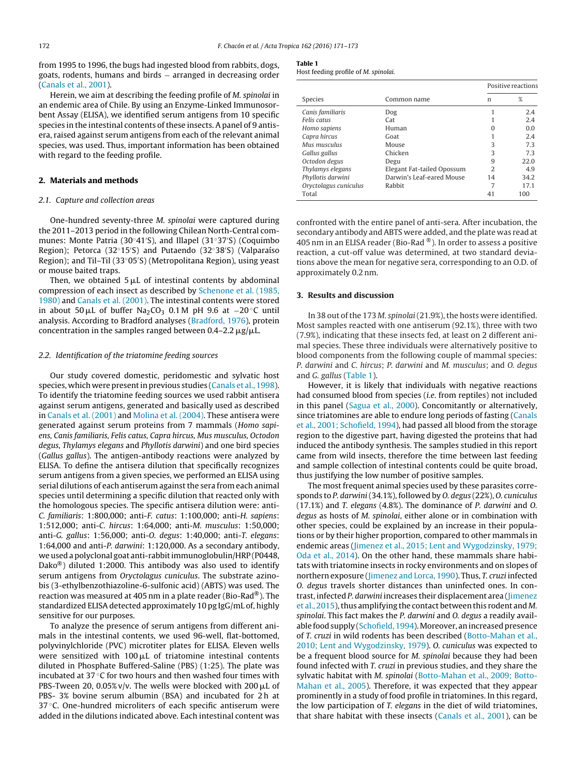<span id="page-1-0"></span>from 1995 to 1996, the bugs had ingested blood from rabbits, dogs, goats, rodents, humans and birds − arranged in decreasing order ([Canals](#page-2-0) et [al.,](#page-2-0) [2001\).](#page-2-0)

Herein, we aim at describing the feeding profile of M. spinolai in an endemic area of Chile. By using an Enzyme-Linked Immunosorbent Assay (ELISA), we identified serum antigens from 10 specific species in the intestinal contents of these insects. A panel of 9 antisera, raised against serum antigens from each of the relevant animal species, was used. Thus, important information has been obtained with regard to the feeding profile.

#### **2. Materials and methods**

# 2.1. Capture and collection areas

One-hundred seventy-three M. spinolai were captured during the 2011–2013 period in the following Chilean North-Central communes: Monte Patria (30◦41 S), and Illapel (31◦37 S) (Coquimbo Region); Petorca (32◦15 S) and Putaendo (32◦38 S) (Valparaíso Region); and Til–Til (33◦05 S) (Metropolitana Region), using yeast or mouse baited traps.

Then, we obtained 5  $\rm \mu L$  of intestinal contents by abdominal compression of each insect as described by [Schenone](#page-2-0) et [al.](#page-2-0) [\(1985,](#page-2-0) [1980\)](#page-2-0) and [Canals](#page-2-0) et [al.](#page-2-0) [\(2001\).](#page-2-0) The intestinal contents were stored in about 50 µL of buffer Na<sub>2</sub>CO<sub>3</sub> 0.1 M pH 9.6 at  $-20^{\circ}$ C until analysis. According to Bradford analyses [\(Bradford,](#page-2-0) [1976\),](#page-2-0) protein concentration in the samples ranged between 0.4–2.2  $\rm \mu g/\rm \mu L$ .

### 2.2. Identification of the triatomine feeding sources

Our study covered domestic, peridomestic and sylvatic host species, which were present in previous studies ([Canals](#page-2-0) et [al.,](#page-2-0) [1998\).](#page-2-0) To identify the triatomine feeding sources we used rabbit antisera against serum antigens, generated and basically used as described in [Canals](#page-2-0) et [al.](#page-2-0) [\(2001\)](#page-2-0) and [Molina](#page-2-0) et [al.](#page-2-0) [\(2004\).](#page-2-0) These antisera were generated against serum proteins from 7 mammals (Homo sapiens, Canis familiaris, Felis catus, Capra hircus, Mus musculus, Octodon degus, Thylamys elegans and Phyllotis darwini) and one bird species (Gallus gallus). The antigen-antibody reactions were analyzed by ELISA. To define the antisera dilution that specifically recognizes serum antigens from a given species, we performed an ELISA using serial dilutions of each antiserum against the sera from each animal species until determining a specific dilution that reacted only with the homologous species. The specific antisera dilution were: anti-C. familiaris: 1:800,000; anti-F. catus: 1:100,000; anti-H. sapiens: 1:512,000; anti-C. hircus: 1:64,000; anti-M. musculus: 1:50,000; anti-G. gallus: 1:56,000; anti-O. degus: 1:40,000; anti-T. elegans: 1:64,000 and anti-P. darwini: 1:120,000. As a secondary antibody, we used a polyclonal goat anti-rabbit immunoglobulin/HRP (P0448, Dako<sup>®</sup>) diluted 1:2000. This antibody was also used to identify serum antigens from Oryctolagus cuniculus. The substrate azinobis (3-ethylbenzothiazoline-6-sulfonic acid) (ABTS) was used. The reaction was measured at 405 nm in a plate reader (Bio-Rad®). The standardized ELISA detected approximately 10 pg IgG/mL of, highly sensitive for our purposes.

To analyze the presence of serum antigens from different animals in the intestinal contents, we used 96-well, flat-bottomed, polyvinylchloride (PVC) microtiter plates for ELISA. Eleven wells were sensitized with  $100 \mu$ L of triatomine intestinal contents diluted in Phosphate Buffered-Saline (PBS) (1:25). The plate was incubated at 37 $\degree$ C for two hours and then washed four times with PBS-Tween 20, 0.05% v/v. The wells were blocked with 200  $\rm \mu L$  of PBS- 3% bovine serum albumin (BSA) and incubated for 2 h at 37 °C. One-hundred microliters of each specific antiserum were added in the dilutions indicated above. Each intestinal content was

**Table 1**

| .                                    |  |  |
|--------------------------------------|--|--|
| Host feeding profile of M. spinolai. |  |  |

|                       |                            | Positive reactions |      |
|-----------------------|----------------------------|--------------------|------|
| Species               | Common name                | n                  | %    |
| Canis familiaris      | Dog                        |                    | 2.4  |
| Felis catus           | Cat                        |                    | 2.4  |
| Homo sapiens          | Human                      | O                  | 0.0  |
| Capra hircus          | Goat                       |                    | 2.4  |
| Mus musculus          | Mouse                      | 3                  | 7.3  |
| Gallus gallus         | Chicken                    | 3                  | 7.3  |
| Octodon degus         | Degu                       | 9                  | 22.0 |
| Thylamys elegans      | Elegant Fat-tailed Opossum | 2                  | 4.9  |
| Phyllotis darwini     | Darwin's Leaf-eared Mouse  | 14                 | 34.2 |
| Oryctolagus cuniculus | Rabbit                     | 7                  | 17.1 |
| Total                 |                            | 41                 | 100  |
|                       |                            |                    |      |

confronted with the entire panel of anti-sera. After incubation, the secondary antibody and ABTS were added, and the plate was read at 405 nm in an ELISA reader (Bio-Rad  $\textcircled{\tiny{\textcirc}}$ ). In order to assess a positive reaction, a cut-off value was determined, at two standard deviations above the mean for negative sera, corresponding to an O.D. of approximately 0.2 nm.

#### **3. Results and discussion**

In 38 out of the 173 M. spinolai (21.9%), the hosts were identified. Most samples reacted with one antiserum (92.1%), three with two (7.9%), indicating that these insects fed, at least on 2 different animal species. These three individuals were alternatively positive to blood components from the following couple of mammal species: P. darwini and C. hircus; P. darwini and M. musculus; and O. degus and G. gallus (Table 1).

However, it is likely that individuals with negative reactions had consumed blood from species (i.e. from reptiles) not included in this panel [\(Sagua](#page-2-0) et [al.,](#page-2-0) [2000\).](#page-2-0) Concomitantly or alternatively, since triatomines are able to endure long periods of fasting [\(Canals](#page-2-0) et [al.,](#page-2-0) [2001;](#page-2-0) [Schofield,](#page-2-0) [1994\),](#page-2-0) had passed all blood from the storage region to the digestive part, having digested the proteins that had induced the antibody synthesis. The samples studied in this report came from wild insects, therefore the time between last feeding and sample collection of intestinal contents could be quite broad, thus justifying the low number of positive samples.

The most frequent animal species used by these parasites corresponds to P. darwini (34.1%), followed by O. degus (22%), O. cuniculus (17.1%) and T. elegans (4.8%). The dominance of P. darwini and O. degus as hosts of M. spinolai, either alone or in combination with other species, could be explained by an increase in their populations or by their higher proportion, compared to other mammals in endemic areas [\(Jimenez](#page-2-0) et [al.,](#page-2-0) [2015;](#page-2-0) [Lent](#page-2-0) [and](#page-2-0) [Wygodzinsky,](#page-2-0) [1979;](#page-2-0) [Oda](#page-2-0) et [al.,](#page-2-0) [2014\).](#page-2-0) On the other hand, these mammals share habitats with triatomine insects in rocky environments and on slopes of northern exposure [\(Jimenez](#page-2-0) [and](#page-2-0) [Lorca,](#page-2-0) [1990\).](#page-2-0) Thus, T. cruzi infected O. degus travels shorter distances than uninfected ones. In con-trast, infected P. darwini increases their displacement area [\(Jimenez](#page-2-0) et [al.,](#page-2-0) [2015\),](#page-2-0) thus amplifying the contact between this rodent and M. spinolai. This fact makes the P. darwini and O. degus a readily avail-able food supply ([Schofield,](#page-2-0) [1994\).](#page-2-0) Moreover, an increased presence of T. cruzi in wild rodents has been described ([Botto-Mahan](#page-2-0) et [al.,](#page-2-0) [2010;](#page-2-0) [Lent](#page-2-0) [and](#page-2-0) [Wygodzinsky,](#page-2-0) [1979\).](#page-2-0) O. cuniculus was expected to be a frequent blood source for M. spinolai because they had been found infected with T. cruzi in previous studies, and they share the sylvatic habitat with M. spinolai ([Botto-Mahan](#page-2-0) et [al.,](#page-2-0) [2009;](#page-2-0) [Botto-](#page-2-0)Mahan et [al.,](#page-2-0) [2005\).](#page-2-0) Therefore, it was expected that they appear prominently in a study of food profile in triatomines. In this regard, the low participation of T. elegans in the diet of wild triatomines, that share habitat with these insects [\(Canals](#page-2-0) et [al.,](#page-2-0) [2001\),](#page-2-0) can be